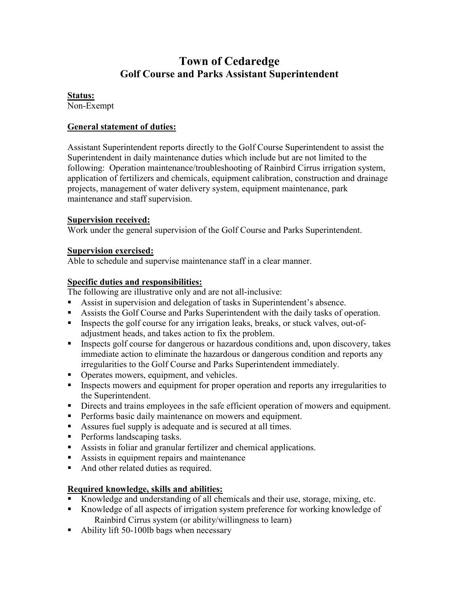# **Town of Cedaredge Golf Course and Parks Assistant Superintendent**

#### **Status:**

Non-Exempt

## **General statement of duties:**

Assistant Superintendent reports directly to the Golf Course Superintendent to assist the Superintendent in daily maintenance duties which include but are not limited to the following: Operation maintenance/troubleshooting of Rainbird Cirrus irrigation system, application of fertilizers and chemicals, equipment calibration, construction and drainage projects, management of water delivery system, equipment maintenance, park maintenance and staff supervision.

## **Supervision received:**

Work under the general supervision of the Golf Course and Parks Superintendent.

## **Supervision exercised:**

Able to schedule and supervise maintenance staff in a clear manner.

## **Specific duties and responsibilities:**

The following are illustrative only and are not all-inclusive:

- Assist in supervision and delegation of tasks in Superintendent's absence.
- Assists the Golf Course and Parks Superintendent with the daily tasks of operation.
- Inspects the golf course for any irrigation leaks, breaks, or stuck valves, out-ofadjustment heads, and takes action to fix the problem.
- **Inspects golf course for dangerous or hazardous conditions and, upon discovery, takes** immediate action to eliminate the hazardous or dangerous condition and reports any irregularities to the Golf Course and Parks Superintendent immediately.
- Operates mowers, equipment, and vehicles.
- Inspects mowers and equipment for proper operation and reports any irregularities to the Superintendent.
- Directs and trains employees in the safe efficient operation of mowers and equipment.
- **Performs basic daily maintenance on mowers and equipment.**
- Assures fuel supply is adequate and is secured at all times.
- **Performs landscaping tasks.**
- Assists in foliar and granular fertilizer and chemical applications.
- Assists in equipment repairs and maintenance
- And other related duties as required.

## **Required knowledge, skills and abilities:**

- Knowledge and understanding of all chemicals and their use, storage, mixing, etc.
- Knowledge of all aspects of irrigation system preference for working knowledge of Rainbird Cirrus system (or ability/willingness to learn)
- Ability lift 50-100lb bags when necessary